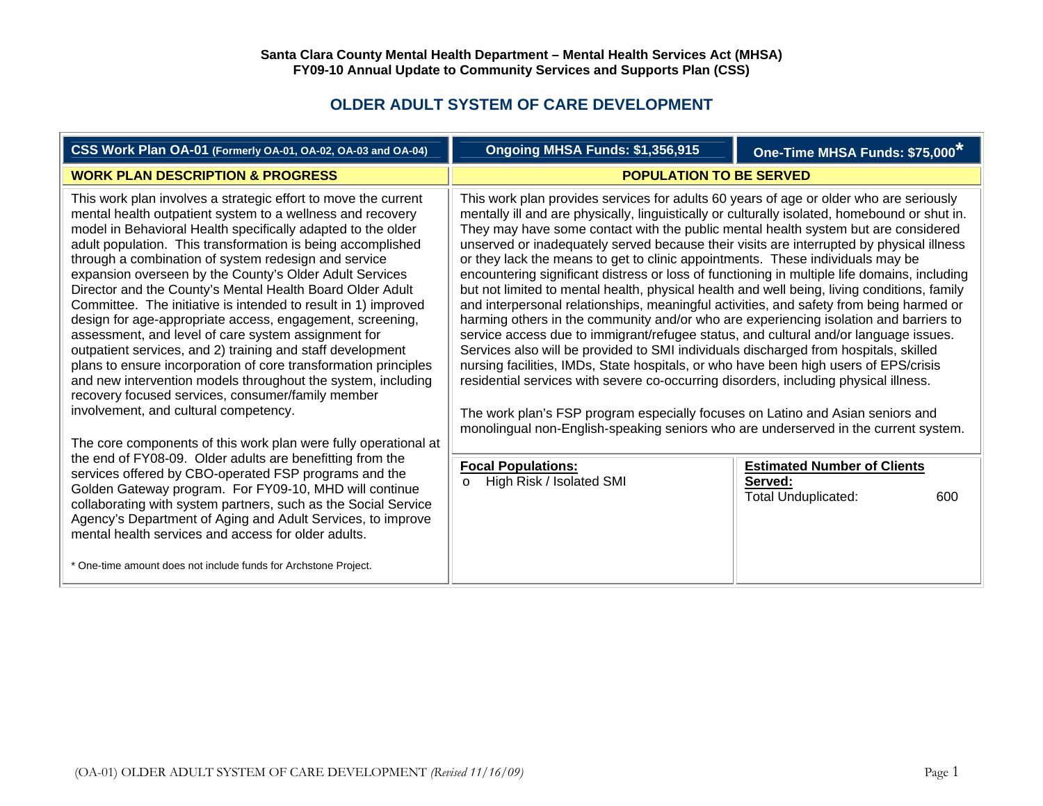## **OLDER ADULT SYSTEM OF CARE DEVELOPMENT**

| CSS Work Plan OA-01 (Formerly OA-01, OA-02, OA-03 and OA-04)                                                                                                                                                                                                                                                                                                                                                                                                                                                                                                                                                                                                                                                                                                                                                                                                                                                                                                                                                                                                                                                                                                                                                                                                                                                                                                                | Ongoing MHSA Funds: \$1,356,915                                                                                                                                                                                                                                                                                                                                                                                                                                                                                                                                                                                                                                                                                                                                                                                                                                                                                                                                                                                                                                                                                                                                                                                                                                                                                                                                                                                                                                                                                                                   | One-Time MHSA Funds: \$75,000* |
|-----------------------------------------------------------------------------------------------------------------------------------------------------------------------------------------------------------------------------------------------------------------------------------------------------------------------------------------------------------------------------------------------------------------------------------------------------------------------------------------------------------------------------------------------------------------------------------------------------------------------------------------------------------------------------------------------------------------------------------------------------------------------------------------------------------------------------------------------------------------------------------------------------------------------------------------------------------------------------------------------------------------------------------------------------------------------------------------------------------------------------------------------------------------------------------------------------------------------------------------------------------------------------------------------------------------------------------------------------------------------------|---------------------------------------------------------------------------------------------------------------------------------------------------------------------------------------------------------------------------------------------------------------------------------------------------------------------------------------------------------------------------------------------------------------------------------------------------------------------------------------------------------------------------------------------------------------------------------------------------------------------------------------------------------------------------------------------------------------------------------------------------------------------------------------------------------------------------------------------------------------------------------------------------------------------------------------------------------------------------------------------------------------------------------------------------------------------------------------------------------------------------------------------------------------------------------------------------------------------------------------------------------------------------------------------------------------------------------------------------------------------------------------------------------------------------------------------------------------------------------------------------------------------------------------------------|--------------------------------|
| <b>WORK PLAN DESCRIPTION &amp; PROGRESS</b>                                                                                                                                                                                                                                                                                                                                                                                                                                                                                                                                                                                                                                                                                                                                                                                                                                                                                                                                                                                                                                                                                                                                                                                                                                                                                                                                 | <b>POPULATION TO BE SERVED</b>                                                                                                                                                                                                                                                                                                                                                                                                                                                                                                                                                                                                                                                                                                                                                                                                                                                                                                                                                                                                                                                                                                                                                                                                                                                                                                                                                                                                                                                                                                                    |                                |
| This work plan involves a strategic effort to move the current<br>mental health outpatient system to a wellness and recovery<br>model in Behavioral Health specifically adapted to the older<br>adult population. This transformation is being accomplished<br>through a combination of system redesign and service<br>expansion overseen by the County's Older Adult Services<br>Director and the County's Mental Health Board Older Adult<br>Committee. The initiative is intended to result in 1) improved<br>design for age-appropriate access, engagement, screening,<br>assessment, and level of care system assignment for<br>outpatient services, and 2) training and staff development<br>plans to ensure incorporation of core transformation principles<br>and new intervention models throughout the system, including<br>recovery focused services, consumer/family member<br>involvement, and cultural competency.<br>The core components of this work plan were fully operational at<br>the end of FY08-09. Older adults are benefitting from the<br>services offered by CBO-operated FSP programs and the<br>Golden Gateway program. For FY09-10, MHD will continue<br>collaborating with system partners, such as the Social Service<br>Agency's Department of Aging and Adult Services, to improve<br>mental health services and access for older adults. | This work plan provides services for adults 60 years of age or older who are seriously<br>mentally ill and are physically, linguistically or culturally isolated, homebound or shut in.<br>They may have some contact with the public mental health system but are considered<br>unserved or inadequately served because their visits are interrupted by physical illness<br>or they lack the means to get to clinic appointments. These individuals may be<br>encountering significant distress or loss of functioning in multiple life domains, including<br>but not limited to mental health, physical health and well being, living conditions, family<br>and interpersonal relationships, meaningful activities, and safety from being harmed or<br>harming others in the community and/or who are experiencing isolation and barriers to<br>service access due to immigrant/refugee status, and cultural and/or language issues.<br>Services also will be provided to SMI individuals discharged from hospitals, skilled<br>nursing facilities, IMDs, State hospitals, or who have been high users of EPS/crisis<br>residential services with severe co-occurring disorders, including physical illness.<br>The work plan's FSP program especially focuses on Latino and Asian seniors and<br>monolingual non-English-speaking seniors who are underserved in the current system.<br><b>Focal Populations:</b><br><b>Estimated Number of Clients</b><br>High Risk / Isolated SMI<br>Served:<br>$\circ$<br><b>Total Unduplicated:</b><br>600 |                                |
| * One-time amount does not include funds for Archstone Project.                                                                                                                                                                                                                                                                                                                                                                                                                                                                                                                                                                                                                                                                                                                                                                                                                                                                                                                                                                                                                                                                                                                                                                                                                                                                                                             |                                                                                                                                                                                                                                                                                                                                                                                                                                                                                                                                                                                                                                                                                                                                                                                                                                                                                                                                                                                                                                                                                                                                                                                                                                                                                                                                                                                                                                                                                                                                                   |                                |